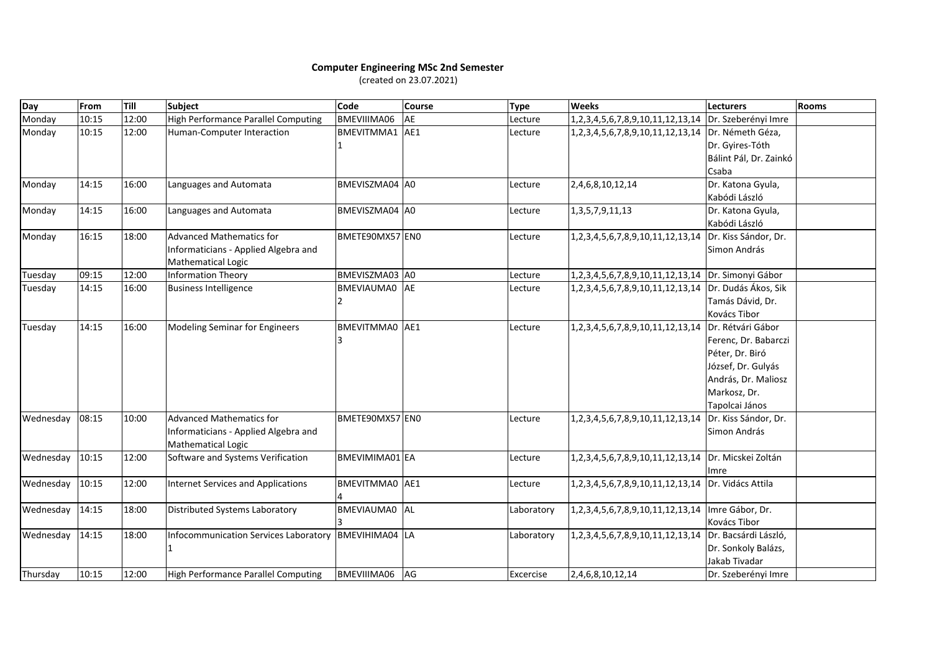## **Computer Engineering MSc 2nd Semester** (created on 23.07.2021)

| Day       | From  | Till  | <b>Subject</b>                            | Code            | <b>Course</b> | <b>Type</b> | <b>Weeks</b>                                         | <b>Lecturers</b>       | <b>Rooms</b> |
|-----------|-------|-------|-------------------------------------------|-----------------|---------------|-------------|------------------------------------------------------|------------------------|--------------|
| Monday    | 10:15 | 12:00 | High Performance Parallel Computing       | BMEVIIIMA06     | AE            | Lecture     | 1,2,3,4,5,6,7,8,9,10,11,12,13,14 Dr. Szeberényi Imre |                        |              |
| Monday    | 10:15 | 12:00 | Human-Computer Interaction                | BMEVITMMA1 AE1  |               | Lecture     | 1,2,3,4,5,6,7,8,9,10,11,12,13,14 Dr. Németh Géza,    |                        |              |
|           |       |       |                                           |                 |               |             |                                                      | Dr. Gyires-Tóth        |              |
|           |       |       |                                           |                 |               |             |                                                      | Bálint Pál, Dr. Zainkó |              |
|           |       |       |                                           |                 |               |             |                                                      | Csaba                  |              |
| Monday    | 14:15 | 16:00 | Languages and Automata                    | BMEVISZMA04 A0  |               | Lecture     | 2,4,6,8,10,12,14                                     | Dr. Katona Gyula,      |              |
|           |       |       |                                           |                 |               |             |                                                      | Kabódi László          |              |
| Monday    | 14:15 | 16:00 | Languages and Automata                    | BMEVISZMA04 A0  |               | Lecture     | 1, 3, 5, 7, 9, 11, 13                                | Dr. Katona Gyula,      |              |
|           |       |       |                                           |                 |               |             |                                                      | Kabódi László          |              |
| Monday    | 16:15 | 18:00 | <b>Advanced Mathematics for</b>           | BMETE90MX57 EN0 |               | Lecture     | 1,2,3,4,5,6,7,8,9,10,11,12,13,14                     | Dr. Kiss Sándor, Dr.   |              |
|           |       |       | Informaticians - Applied Algebra and      |                 |               |             |                                                      | Simon András           |              |
|           |       |       | <b>Mathematical Logic</b>                 |                 |               |             |                                                      |                        |              |
| Tuesday   | 09:15 | 12:00 | <b>Information Theory</b>                 | BMEVISZMA03 A0  |               | Lecture     | 1,2,3,4,5,6,7,8,9,10,11,12,13,14  Dr. Simonyi Gábor  |                        |              |
| Tuesday   | 14:15 | 16:00 | <b>Business Intelligence</b>              | BMEVIAUMA0 AE   |               | Lecture     | 1,2,3,4,5,6,7,8,9,10,11,12,13,14                     | Dr. Dudás Ákos, Sik    |              |
|           |       |       |                                           |                 |               |             |                                                      | Tamás Dávid, Dr.       |              |
|           |       |       |                                           |                 |               |             |                                                      | Kovács Tibor           |              |
| Tuesday   | 14:15 | 16:00 | Modeling Seminar for Engineers            | BMEVITMMA0 AE1  |               | Lecture     | 1,2,3,4,5,6,7,8,9,10,11,12,13,14                     | Dr. Rétvári Gábor      |              |
|           |       |       |                                           |                 |               |             |                                                      | Ferenc, Dr. Babarczi   |              |
|           |       |       |                                           |                 |               |             |                                                      | Péter, Dr. Biró        |              |
|           |       |       |                                           |                 |               |             |                                                      | József, Dr. Gulyás     |              |
|           |       |       |                                           |                 |               |             |                                                      | András, Dr. Maliosz    |              |
|           |       |       |                                           |                 |               |             |                                                      | Markosz, Dr.           |              |
|           |       |       |                                           |                 |               |             |                                                      | Tapolcai János         |              |
| Wednesday | 08:15 | 10:00 | <b>Advanced Mathematics for</b>           | BMETE90MX57 EN0 |               | Lecture     | 1,2,3,4,5,6,7,8,9,10,11,12,13,14                     | Dr. Kiss Sándor, Dr.   |              |
|           |       |       | Informaticians - Applied Algebra and      |                 |               |             |                                                      | Simon András           |              |
|           |       |       | <b>Mathematical Logic</b>                 |                 |               |             |                                                      |                        |              |
| Wednesday | 10:15 | 12:00 | Software and Systems Verification         | BMEVIMIMA01 EA  |               | Lecture     | 1,2,3,4,5,6,7,8,9,10,11,12,13,14                     | Dr. Micskei Zoltán     |              |
|           |       |       |                                           |                 |               |             |                                                      | Imre                   |              |
| Wednesday | 10:15 | 12:00 | <b>Internet Services and Applications</b> | BMEVITMMA0 AE1  |               | Lecture     | 1, 2, 3, 4, 5, 6, 7, 8, 9, 10, 11, 12, 13, 14        | Dr. Vidács Attila      |              |
|           |       |       |                                           |                 |               |             |                                                      |                        |              |
| Wednesday | 14:15 | 18:00 | Distributed Systems Laboratory            | BMEVIAUMA0 AL   |               | Laboratory  | 1, 2, 3, 4, 5, 6, 7, 8, 9, 10, 11, 12, 13, 14        | Imre Gábor, Dr.        |              |
|           |       |       |                                           |                 |               |             |                                                      | Kovács Tibor           |              |
| Wednesday | 14:15 | 18:00 | Infocommunication Services Laboratory     | BMEVIHIMA04 LA  |               | Laboratory  | 1, 2, 3, 4, 5, 6, 7, 8, 9, 10, 11, 12, 13, 14        | Dr. Bacsárdi László,   |              |
|           |       |       |                                           |                 |               |             |                                                      | Dr. Sonkoly Balázs,    |              |
|           |       |       |                                           |                 |               |             |                                                      | Jakab Tivadar          |              |
| Thursday  | 10:15 | 12:00 | High Performance Parallel Computing       | BMEVIIIMA06     | AG            | Excercise   | 2,4,6,8,10,12,14                                     | Dr. Szeberényi Imre    |              |